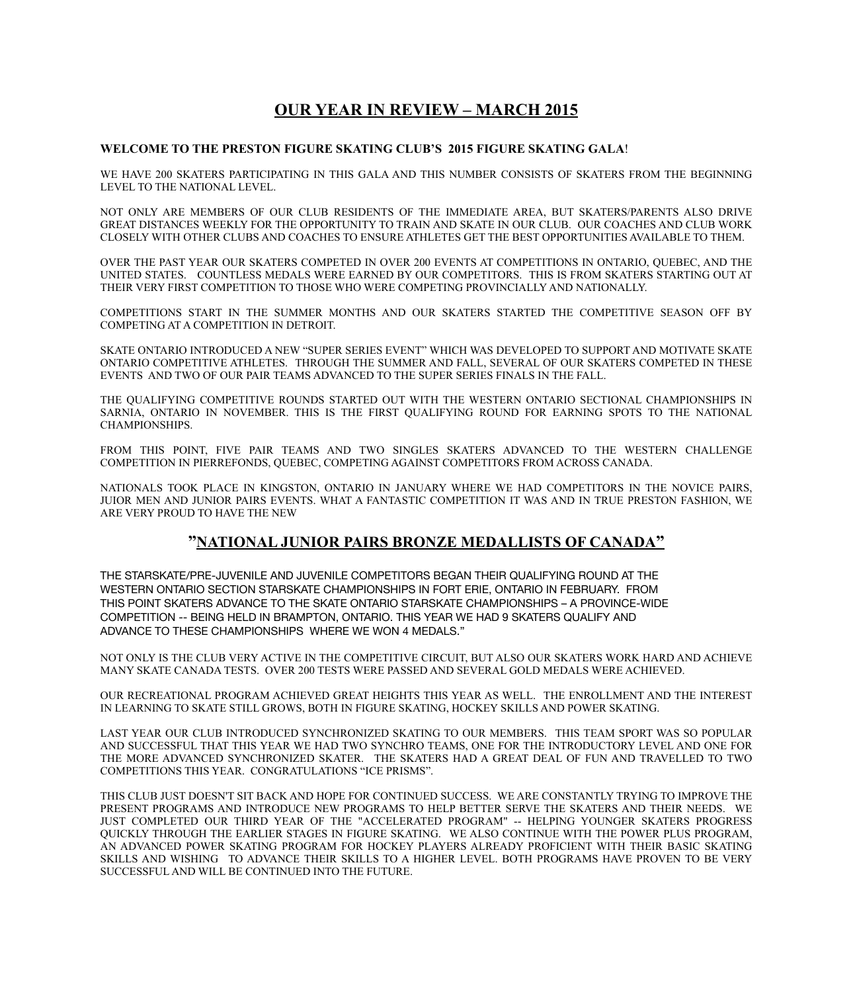# **OUR YEAR IN REVIEW – MARCH 2015**

### **WELCOME TO THE PRESTON FIGURE SKATING CLUB'S 2015 FIGURE SKATING GALA**!

WE HAVE 200 SKATERS PARTICIPATING IN THIS GALA AND THIS NUMBER CONSISTS OF SKATERS FROM THE BEGINNING LEVEL TO THE NATIONAL LEVEL.

NOT ONLY ARE MEMBERS OF OUR CLUB RESIDENTS OF THE IMMEDIATE AREA, BUT SKATERS/PARENTS ALSO DRIVE GREAT DISTANCES WEEKLY FOR THE OPPORTUNITY TO TRAIN AND SKATE IN OUR CLUB. OUR COACHES AND CLUB WORK CLOSELY WITH OTHER CLUBS AND COACHES TO ENSURE ATHLETES GET THE BEST OPPORTUNITIES AVAILABLE TO THEM.

OVER THE PAST YEAR OUR SKATERS COMPETED IN OVER 200 EVENTS AT COMPETITIONS IN ONTARIO, QUEBEC, AND THE UNITED STATES. COUNTLESS MEDALS WERE EARNED BY OUR COMPETITORS. THIS IS FROM SKATERS STARTING OUT AT THEIR VERY FIRST COMPETITION TO THOSE WHO WERE COMPETING PROVINCIALLY AND NATIONALLY.

COMPETITIONS START IN THE SUMMER MONTHS AND OUR SKATERS STARTED THE COMPETITIVE SEASON OFF BY COMPETING AT A COMPETITION IN DETROIT.

SKATE ONTARIO INTRODUCED A NEW "SUPER SERIES EVENT" WHICH WAS DEVELOPED TO SUPPORT AND MOTIVATE SKATE ONTARIO COMPETITIVE ATHLETES. THROUGH THE SUMMER AND FALL, SEVERAL OF OUR SKATERS COMPETED IN THESE EVENTS AND TWO OF OUR PAIR TEAMS ADVANCED TO THE SUPER SERIES FINALS IN THE FALL.

THE QUALIFYING COMPETITIVE ROUNDS STARTED OUT WITH THE WESTERN ONTARIO SECTIONAL CHAMPIONSHIPS IN SARNIA, ONTARIO IN NOVEMBER. THIS IS THE FIRST QUALIFYING ROUND FOR EARNING SPOTS TO THE NATIONAL CHAMPIONSHIPS.

FROM THIS POINT, FIVE PAIR TEAMS AND TWO SINGLES SKATERS ADVANCED TO THE WESTERN CHALLENGE COMPETITION IN PIERREFONDS, QUEBEC, COMPETING AGAINST COMPETITORS FROM ACROSS CANADA.

NATIONALS TOOK PLACE IN KINGSTON, ONTARIO IN JANUARY WHERE WE HAD COMPETITORS IN THE NOVICE PAIRS, JUIOR MEN AND JUNIOR PAIRS EVENTS. WHAT A FANTASTIC COMPETITION IT WAS AND IN TRUE PRESTON FASHION, WE ARE VERY PROUD TO HAVE THE NEW

## **"NATIONAL JUNIOR PAIRS BRONZE MEDALLISTS OF CANADA"**

THE STARSKATE/PRE-JUVENILE AND JUVENILE COMPETITORS BEGAN THEIR QUALIFYING ROUND AT THE WESTERN ONTARIO SECTION STARSKATE CHAMPIONSHIPS IN FORT ERIE, ONTARIO IN FEBRUARY. FROM THIS POINT SKATERS ADVANCE TO THE SKATE ONTARIO STARSKATE CHAMPIONSHIPS – A PROVINCE-WIDE COMPETITION -- BEING HELD IN BRAMPTON, ONTARIO. THIS YEAR WE HAD 9 SKATERS QUALIFY AND ADVANCE TO THESE CHAMPIONSHIPS WHERE WE WON 4 MEDALS."

NOT ONLY IS THE CLUB VERY ACTIVE IN THE COMPETITIVE CIRCUIT, BUT ALSO OUR SKATERS WORK HARD AND ACHIEVE MANY SKATE CANADA TESTS. OVER 200 TESTS WERE PASSED AND SEVERAL GOLD MEDALS WERE ACHIEVED.

OUR RECREATIONAL PROGRAM ACHIEVED GREAT HEIGHTS THIS YEAR AS WELL. THE ENROLLMENT AND THE INTEREST IN LEARNING TO SKATE STILL GROWS, BOTH IN FIGURE SKATING, HOCKEY SKILLS AND POWER SKATING.

LAST YEAR OUR CLUB INTRODUCED SYNCHRONIZED SKATING TO OUR MEMBERS. THIS TEAM SPORT WAS SO POPULAR AND SUCCESSFUL THAT THIS YEAR WE HAD TWO SYNCHRO TEAMS, ONE FOR THE INTRODUCTORY LEVEL AND ONE FOR THE MORE ADVANCED SYNCHRONIZED SKATER. THE SKATERS HAD A GREAT DEAL OF FUN AND TRAVELLED TO TWO COMPETITIONS THIS YEAR. CONGRATULATIONS "ICE PRISMS".

THIS CLUB JUST DOESN'T SIT BACK AND HOPE FOR CONTINUED SUCCESS. WE ARE CONSTANTLY TRYING TO IMPROVE THE PRESENT PROGRAMS AND INTRODUCE NEW PROGRAMS TO HELP BETTER SERVE THE SKATERS AND THEIR NEEDS. WE JUST COMPLETED OUR THIRD YEAR OF THE "ACCELERATED PROGRAM" -- HELPING YOUNGER SKATERS PROGRESS QUICKLY THROUGH THE EARLIER STAGES IN FIGURE SKATING. WE ALSO CONTINUE WITH THE POWER PLUS PROGRAM, AN ADVANCED POWER SKATING PROGRAM FOR HOCKEY PLAYERS ALREADY PROFICIENT WITH THEIR BASIC SKATING SKILLS AND WISHING TO ADVANCE THEIR SKILLS TO A HIGHER LEVEL. BOTH PROGRAMS HAVE PROVEN TO BE VERY SUCCESSFUL AND WILL BE CONTINUED INTO THE FUTURE.